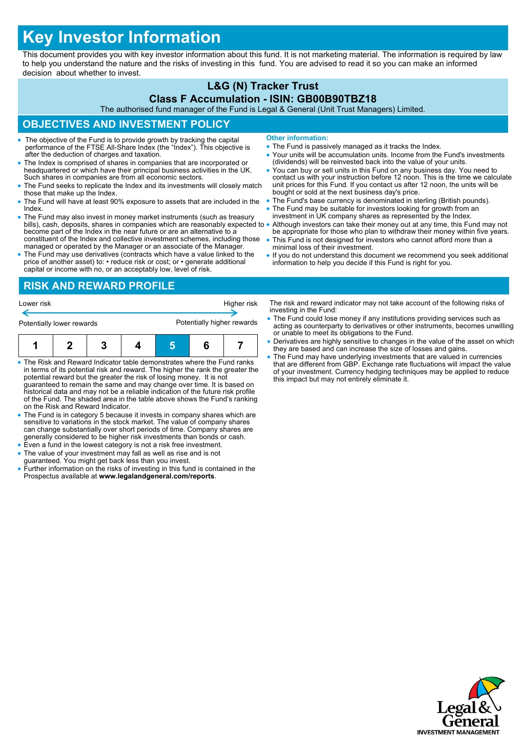# **Key Investor Information**

This document provides you with key investor information about this fund. It is not marketing material. The information is required by law to help you understand the nature and the risks of investing in this fund. You are advised to read it so you can make an informed decision about whether to invest.

# **L&G (N) Tracker Trust**

#### **Class F Accumulation - ISIN: GB00B90TBZ18**

The authorised fund manager of the Fund is Legal & General (Unit Trust Managers) Limited.

## **OBJECTIVES AND INVESTMENT POLICY**

- The objective of the Fund is to provide growth by tracking the capital performance of the FTSE All-Share Index (the "Index"). This objective is after the deduction of charges and taxation.
- The Index is comprised of shares in companies that are incorporated or headquartered or which have their principal business activities in the UK. Such shares in companies are from all economic sectors.
- The Fund seeks to replicate the Index and its investments will closely match those that make up the Index.
- The Fund will have at least 90% exposure to assets that are included in the Index.
- The Fund may also invest in money market instruments (such as treasury bills), cash, deposits, shares in companies which are reasonably expected to  $\bullet$ become part of the Index in the near future or are an alternative to a constituent of the Index and collective investment schemes, including those managed or operated by the Manager or an associate of the Manager.
- The Fund may use derivatives (contracts which have a value linked to the price of another asset) to: • reduce risk or cost; or • generate additional capital or income with no, or an acceptably low, level of risk.
- **Other information:**
- The Fund is passively managed as it tracks the Index.
- Your units will be accumulation units. Income from the Fund's investments (dividends) will be reinvested back into the value of your units.
- You can buy or sell units in this Fund on any business day. You need to contact us with your instruction before 12 noon. This is the time we calculate unit prices for this Fund. If you contact us after 12 noon, the units will be bought or sold at the next business day's price.
- The Fund's base currency is denominated in sterling (British pounds). The Fund may be suitable for investors looking for growth from an
- investment in UK company shares as represented by the Index.
- Although investors can take their money out at any time, this Fund may not be appropriate for those who plan to withdraw their money within five years.
- This Fund is not designed for investors who cannot afford more than a minimal loss of their investment.
- If you do not understand this document we recommend you seek additional information to help you decide if this Fund is right for you.

### **RISK AND REWARD PROFILE**

| Lower risk                | Higher risk                |
|---------------------------|----------------------------|
| Potentially lower rewards | Potentially higher rewards |
|                           |                            |

|--|--|--|--|--|

- The Risk and Reward Indicator table demonstrates where the Fund ranks in terms of its potential risk and reward. The higher the rank the greater the potential reward but the greater the risk of losing money. It is not guaranteed to remain the same and may change over time. It is based on historical data and may not be a reliable indication of the future risk profile of the Fund. The shaded area in the table above shows the Fund's ranking on the Risk and Reward Indicator.
- The Fund is in category 5 because it invests in company shares which are sensitive to variations in the stock market. The value of company shares can change substantially over short periods of time. Company shares are generally considered to be higher risk investments than bonds or cash.
- Even a fund in the lowest category is not a risk free investment. The value of your investment may fall as well as rise and is not
- guaranteed. You might get back less than you invest.
- Further information on the risks of investing in this fund is contained in the Prospectus available at **www.legalandgeneral.com/reports**.

The risk and reward indicator may not take account of the following risks of investing in the Fund:

- The Fund could lose money if any institutions providing services such as acting as counterparty to derivatives or other instruments, becomes unwilling or unable to meet its obligations to the Fund.
- Derivatives are highly sensitive to changes in the value of the asset on which they are based and can increase the size of losses and gains.
- The Fund may have underlying investments that are valued in currencies that are different from GBP. Exchange rate fluctuations will impact the value of your investment. Currency hedging techniques may be applied to reduce this impact but may not entirely eliminate it.